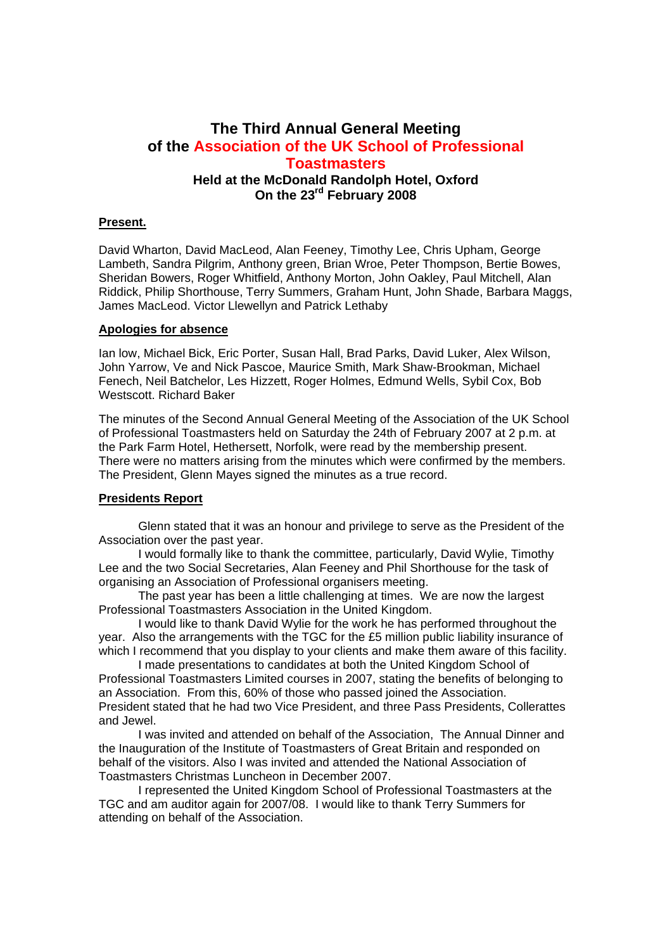# **The Third Annual General Meeting of the Association of the UK School of Professional Toastmasters Held at the McDonald Randolph Hotel, Oxford On the 23rd February 2008**

#### **Present.**

David Wharton, David MacLeod, Alan Feeney, Timothy Lee, Chris Upham, George Lambeth, Sandra Pilgrim, Anthony green, Brian Wroe, Peter Thompson, Bertie Bowes, Sheridan Bowers, Roger Whitfield, Anthony Morton, John Oakley, Paul Mitchell, Alan Riddick, Philip Shorthouse, Terry Summers, Graham Hunt, John Shade, Barbara Maggs, James MacLeod. Victor Llewellyn and Patrick Lethaby

#### **Apologies for absence**

Ian low, Michael Bick, Eric Porter, Susan Hall, Brad Parks, David Luker, Alex Wilson, John Yarrow, Ve and Nick Pascoe, Maurice Smith, Mark Shaw-Brookman, Michael Fenech, Neil Batchelor, Les Hizzett, Roger Holmes, Edmund Wells, Sybil Cox, Bob Westscott. Richard Baker

The minutes of the Second Annual General Meeting of the Association of the UK School of Professional Toastmasters held on Saturday the 24th of February 2007 at 2 p.m. at the Park Farm Hotel, Hethersett, Norfolk, were read by the membership present. There were no matters arising from the minutes which were confirmed by the members. The President, Glenn Mayes signed the minutes as a true record.

### **Presidents Report**

Glenn stated that it was an honour and privilege to serve as the President of the Association over the past year.

I would formally like to thank the committee, particularly, David Wylie, Timothy Lee and the two Social Secretaries, Alan Feeney and Phil Shorthouse for the task of organising an Association of Professional organisers meeting.

The past year has been a little challenging at times. We are now the largest Professional Toastmasters Association in the United Kingdom.

I would like to thank David Wylie for the work he has performed throughout the year. Also the arrangements with the TGC for the £5 million public liability insurance of which I recommend that you display to your clients and make them aware of this facility.

I made presentations to candidates at both the United Kingdom School of Professional Toastmasters Limited courses in 2007, stating the benefits of belonging to an Association. From this, 60% of those who passed joined the Association. President stated that he had two Vice President, and three Pass Presidents, Collerattes and Jewel.

I was invited and attended on behalf of the Association, The Annual Dinner and the Inauguration of the Institute of Toastmasters of Great Britain and responded on behalf of the visitors. Also I was invited and attended the National Association of Toastmasters Christmas Luncheon in December 2007.

I represented the United Kingdom School of Professional Toastmasters at the TGC and am auditor again for 2007/08. I would like to thank Terry Summers for attending on behalf of the Association.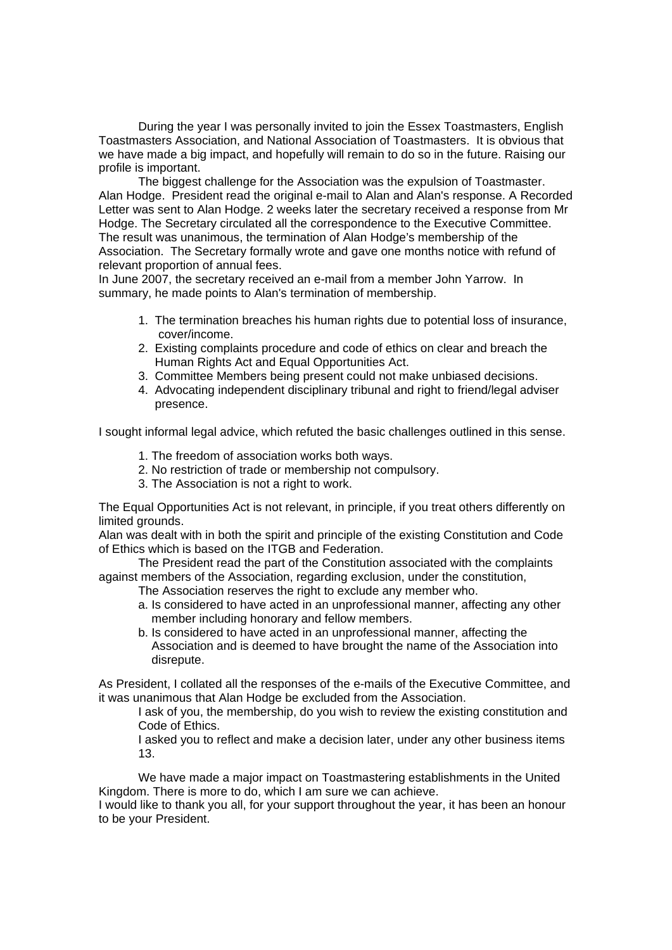During the year I was personally invited to join the Essex Toastmasters, English Toastmasters Association, and National Association of Toastmasters. It is obvious that we have made a big impact, and hopefully will remain to do so in the future. Raising our profile is important.

The biggest challenge for the Association was the expulsion of Toastmaster. Alan Hodge. President read the original e-mail to Alan and Alan's response. A Recorded Letter was sent to Alan Hodge. 2 weeks later the secretary received a response from Mr Hodge. The Secretary circulated all the correspondence to the Executive Committee. The result was unanimous, the termination of Alan Hodge's membership of the Association. The Secretary formally wrote and gave one months notice with refund of relevant proportion of annual fees.

In June 2007, the secretary received an e-mail from a member John Yarrow. In summary, he made points to Alan's termination of membership.

- 1. The termination breaches his human rights due to potential loss of insurance, cover/income.
- 2. Existing complaints procedure and code of ethics on clear and breach the Human Rights Act and Equal Opportunities Act.
- 3. Committee Members being present could not make unbiased decisions.
- 4. Advocating independent disciplinary tribunal and right to friend/legal adviser presence.

I sought informal legal advice, which refuted the basic challenges outlined in this sense.

- 1. The freedom of association works both ways.
- 2. No restriction of trade or membership not compulsory.
- 3. The Association is not a right to work.

The Equal Opportunities Act is not relevant, in principle, if you treat others differently on limited grounds.

Alan was dealt with in both the spirit and principle of the existing Constitution and Code of Ethics which is based on the ITGB and Federation.

 The President read the part of the Constitution associated with the complaints against members of the Association, regarding exclusion, under the constitution,

- The Association reserves the right to exclude any member who.
- a. Is considered to have acted in an unprofessional manner, affecting any other member including honorary and fellow members.
- b. Is considered to have acted in an unprofessional manner, affecting the Association and is deemed to have brought the name of the Association into disrepute.

As President, I collated all the responses of the e-mails of the Executive Committee, and it was unanimous that Alan Hodge be excluded from the Association.

I ask of you, the membership, do you wish to review the existing constitution and Code of Ethics.

I asked you to reflect and make a decision later, under any other business items 13.

We have made a major impact on Toastmastering establishments in the United Kingdom. There is more to do, which I am sure we can achieve.

I would like to thank you all, for your support throughout the year, it has been an honour to be your President.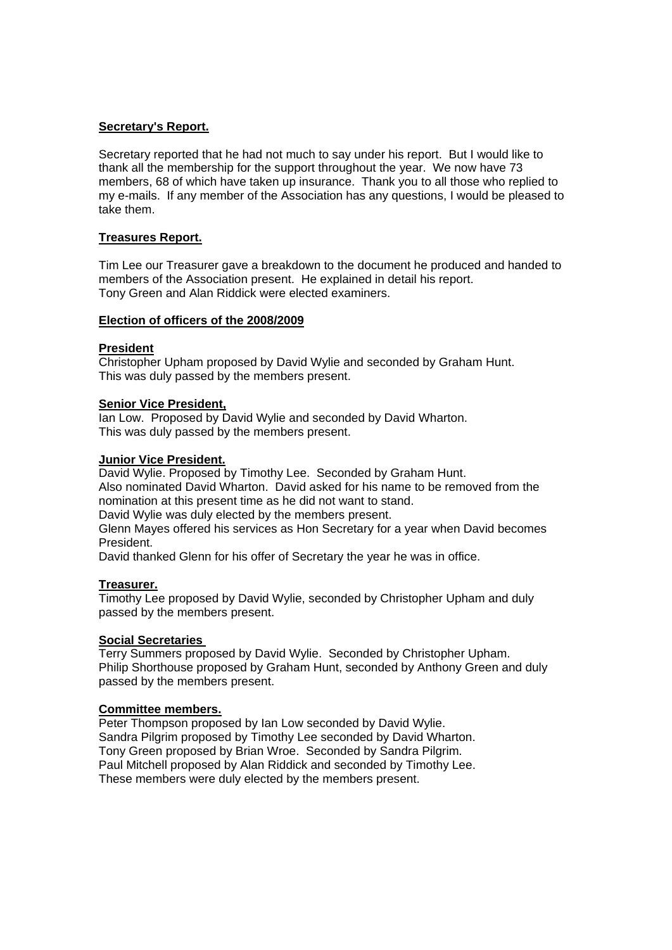### **Secretary's Report.**

Secretary reported that he had not much to say under his report. But I would like to thank all the membership for the support throughout the year. We now have 73 members, 68 of which have taken up insurance. Thank you to all those who replied to my e-mails. If any member of the Association has any questions, I would be pleased to take them.

### **Treasures Report.**

Tim Lee our Treasurer gave a breakdown to the document he produced and handed to members of the Association present. He explained in detail his report. Tony Green and Alan Riddick were elected examiners.

### **Election of officers of the 2008/2009**

### **President**

Christopher Upham proposed by David Wylie and seconded by Graham Hunt. This was duly passed by the members present.

### **Senior Vice President,**

Ian Low. Proposed by David Wylie and seconded by David Wharton. This was duly passed by the members present.

### **Junior Vice President.**

David Wylie. Proposed by Timothy Lee. Seconded by Graham Hunt. Also nominated David Wharton. David asked for his name to be removed from the nomination at this present time as he did not want to stand.

David Wylie was duly elected by the members present.

Glenn Mayes offered his services as Hon Secretary for a year when David becomes President.

David thanked Glenn for his offer of Secretary the year he was in office.

### **Treasurer.**

Timothy Lee proposed by David Wylie, seconded by Christopher Upham and duly passed by the members present.

# **Social Secretaries**

Terry Summers proposed by David Wylie. Seconded by Christopher Upham. Philip Shorthouse proposed by Graham Hunt, seconded by Anthony Green and duly passed by the members present.

### **Committee members.**

Peter Thompson proposed by Ian Low seconded by David Wylie. Sandra Pilgrim proposed by Timothy Lee seconded by David Wharton. Tony Green proposed by Brian Wroe. Seconded by Sandra Pilgrim. Paul Mitchell proposed by Alan Riddick and seconded by Timothy Lee. These members were duly elected by the members present.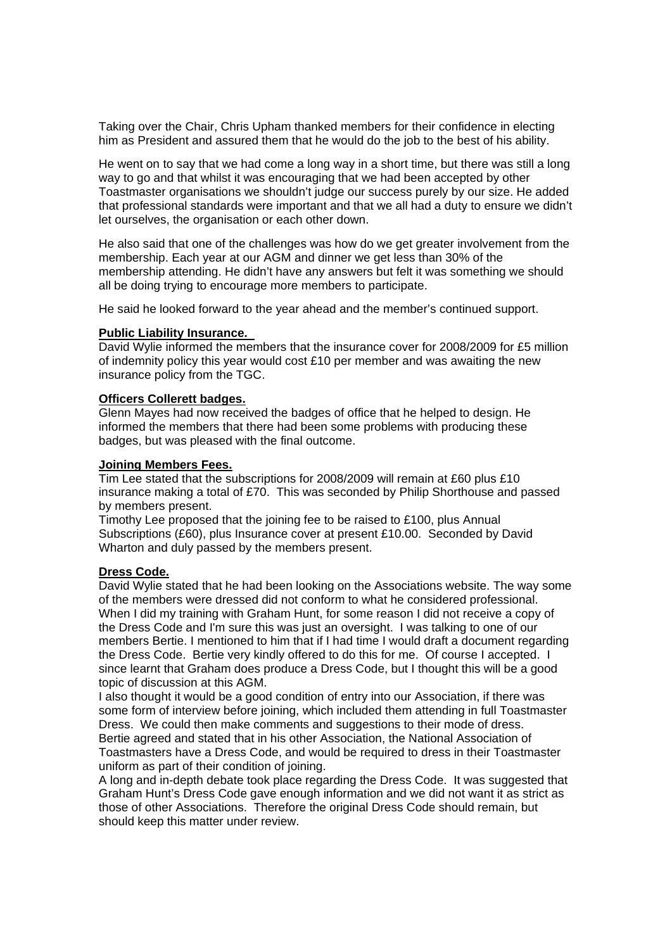Taking over the Chair, Chris Upham thanked members for their confidence in electing him as President and assured them that he would do the job to the best of his ability.

He went on to say that we had come a long way in a short time, but there was still a long way to go and that whilst it was encouraging that we had been accepted by other Toastmaster organisations we shouldn't judge our success purely by our size. He added that professional standards were important and that we all had a duty to ensure we didn't let ourselves, the organisation or each other down.

He also said that one of the challenges was how do we get greater involvement from the membership. Each year at our AGM and dinner we get less than 30% of the membership attending. He didn't have any answers but felt it was something we should all be doing trying to encourage more members to participate.

He said he looked forward to the year ahead and the member's continued support.

### **Public Liability Insurance.**

David Wylie informed the members that the insurance cover for 2008/2009 for £5 million of indemnity policy this year would cost £10 per member and was awaiting the new insurance policy from the TGC.

### **Officers Collerett badges.**

Glenn Mayes had now received the badges of office that he helped to design. He informed the members that there had been some problems with producing these badges, but was pleased with the final outcome.

### **Joining Members Fees.**

Tim Lee stated that the subscriptions for 2008/2009 will remain at £60 plus £10 insurance making a total of £70. This was seconded by Philip Shorthouse and passed by members present.

Timothy Lee proposed that the joining fee to be raised to £100, plus Annual Subscriptions (£60), plus Insurance cover at present £10.00. Seconded by David Wharton and duly passed by the members present.

## **Dress Code.**

David Wylie stated that he had been looking on the Associations website. The way some of the members were dressed did not conform to what he considered professional. When I did my training with Graham Hunt, for some reason I did not receive a copy of the Dress Code and I'm sure this was just an oversight. I was talking to one of our members Bertie. I mentioned to him that if I had time I would draft a document regarding the Dress Code. Bertie very kindly offered to do this for me. Of course I accepted. I since learnt that Graham does produce a Dress Code, but I thought this will be a good topic of discussion at this AGM.

I also thought it would be a good condition of entry into our Association, if there was some form of interview before joining, which included them attending in full Toastmaster Dress. We could then make comments and suggestions to their mode of dress. Bertie agreed and stated that in his other Association, the National Association of Toastmasters have a Dress Code, and would be required to dress in their Toastmaster uniform as part of their condition of joining.

A long and in-depth debate took place regarding the Dress Code. It was suggested that Graham Hunt's Dress Code gave enough information and we did not want it as strict as those of other Associations. Therefore the original Dress Code should remain, but should keep this matter under review.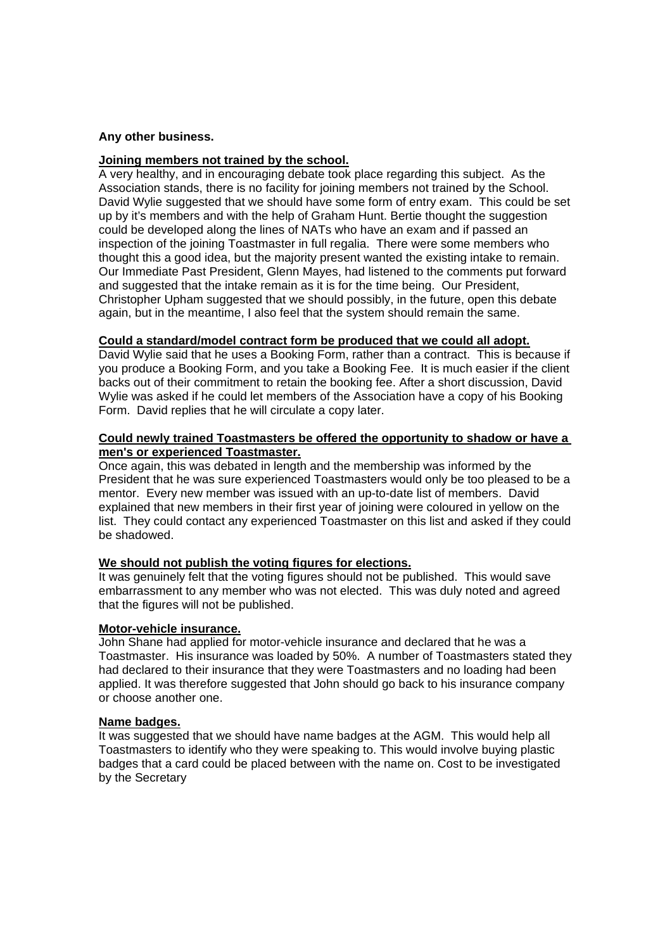#### **Any other business.**

#### **Joining members not trained by the school.**

A very healthy, and in encouraging debate took place regarding this subject. As the Association stands, there is no facility for joining members not trained by the School. David Wylie suggested that we should have some form of entry exam. This could be set up by it's members and with the help of Graham Hunt. Bertie thought the suggestion could be developed along the lines of NATs who have an exam and if passed an inspection of the joining Toastmaster in full regalia. There were some members who thought this a good idea, but the majority present wanted the existing intake to remain. Our Immediate Past President, Glenn Mayes, had listened to the comments put forward and suggested that the intake remain as it is for the time being. Our President, Christopher Upham suggested that we should possibly, in the future, open this debate again, but in the meantime, I also feel that the system should remain the same.

#### **Could a standard/model contract form be produced that we could all adopt.**

David Wylie said that he uses a Booking Form, rather than a contract. This is because if you produce a Booking Form, and you take a Booking Fee. It is much easier if the client backs out of their commitment to retain the booking fee. After a short discussion, David Wylie was asked if he could let members of the Association have a copy of his Booking Form. David replies that he will circulate a copy later.

#### **Could newly trained Toastmasters be offered the opportunity to shadow or have a men's or experienced Toastmaster.**

Once again, this was debated in length and the membership was informed by the President that he was sure experienced Toastmasters would only be too pleased to be a mentor. Every new member was issued with an up-to-date list of members. David explained that new members in their first year of joining were coloured in yellow on the list. They could contact any experienced Toastmaster on this list and asked if they could be shadowed.

#### **We should not publish the voting figures for elections.**

It was genuinely felt that the voting figures should not be published. This would save embarrassment to any member who was not elected. This was duly noted and agreed that the figures will not be published.

#### **Motor-vehicle insurance.**

John Shane had applied for motor-vehicle insurance and declared that he was a Toastmaster. His insurance was loaded by 50%. A number of Toastmasters stated they had declared to their insurance that they were Toastmasters and no loading had been applied. It was therefore suggested that John should go back to his insurance company or choose another one.

#### **Name badges.**

It was suggested that we should have name badges at the AGM. This would help all Toastmasters to identify who they were speaking to. This would involve buying plastic badges that a card could be placed between with the name on. Cost to be investigated by the Secretary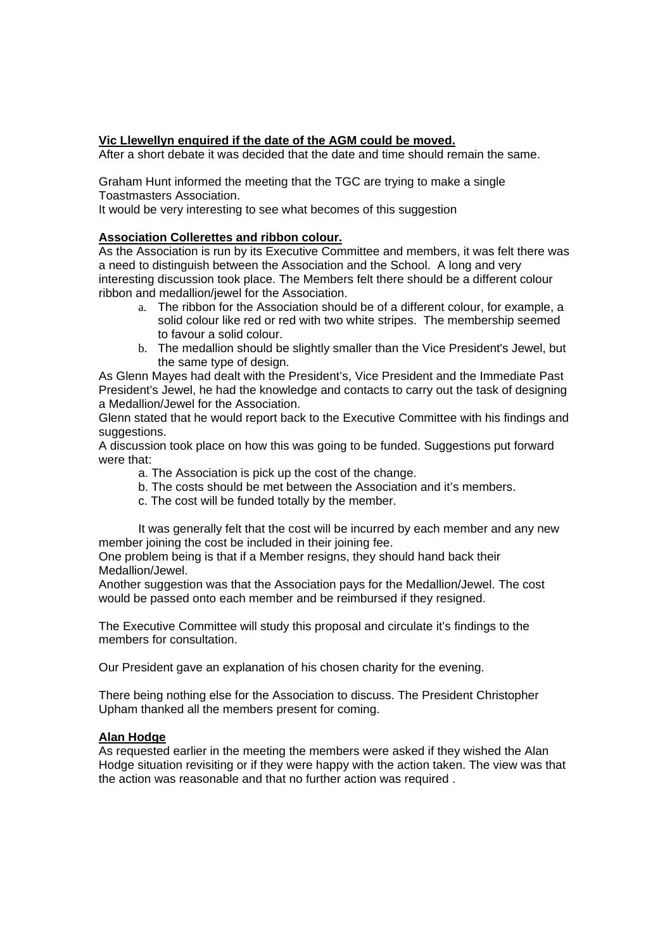### **Vic Llewellyn enquired if the date of the AGM could be moved.**

After a short debate it was decided that the date and time should remain the same.

Graham Hunt informed the meeting that the TGC are trying to make a single Toastmasters Association.

It would be very interesting to see what becomes of this suggestion

### **Association Collerettes and ribbon colour.**

As the Association is run by its Executive Committee and members, it was felt there was a need to distinguish between the Association and the School. A long and very interesting discussion took place. The Members felt there should be a different colour ribbon and medallion/jewel for the Association.

- a. The ribbon for the Association should be of a different colour, for example, a solid colour like red or red with two white stripes. The membership seemed to favour a solid colour.
- b. The medallion should be slightly smaller than the Vice President's Jewel, but the same type of design.

As Glenn Mayes had dealt with the President's, Vice President and the Immediate Past President's Jewel, he had the knowledge and contacts to carry out the task of designing a Medallion/Jewel for the Association.

Glenn stated that he would report back to the Executive Committee with his findings and suggestions.

A discussion took place on how this was going to be funded. Suggestions put forward were that:

a. The Association is pick up the cost of the change.

- b. The costs should be met between the Association and it's members.
- c. The cost will be funded totally by the member.

It was generally felt that the cost will be incurred by each member and any new member joining the cost be included in their joining fee.

One problem being is that if a Member resigns, they should hand back their Medallion/Jewel.

Another suggestion was that the Association pays for the Medallion/Jewel. The cost would be passed onto each member and be reimbursed if they resigned.

The Executive Committee will study this proposal and circulate it's findings to the members for consultation.

Our President gave an explanation of his chosen charity for the evening.

There being nothing else for the Association to discuss. The President Christopher Upham thanked all the members present for coming.

### **Alan Hodge**

As requested earlier in the meeting the members were asked if they wished the Alan Hodge situation revisiting or if they were happy with the action taken. The view was that the action was reasonable and that no further action was required .